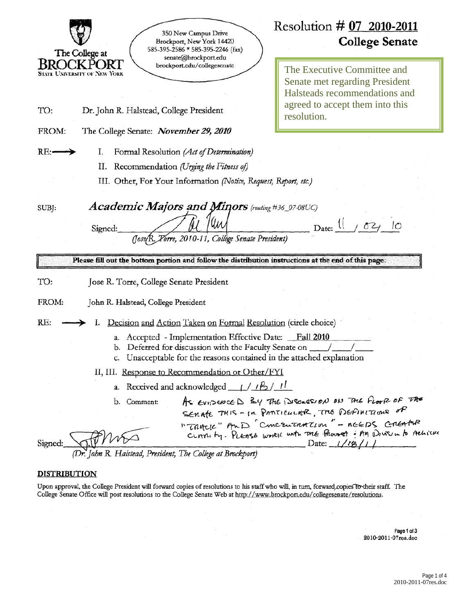

# Resolution # 07 2010-2011 **College Senate**

The Executive Committee and **Senate met regarding President** Halsteads recommendations and agreed to accept them into this resolution.

 $Date:$   $\frac{1}{ }$  /

021

්උ

Formal Resolution (Act of Determination) I.

II. Recommendation (Urging the Fitness of)

III. Other, For Your Information (Notice, Request, Report, etc.)

SUBJ:

 $RE:$ 

**Academic Majors and Minors** (routing #36\_07-08UC)

Signed:

2010-11, Collège Senate President)

Please fill out the bottom portion and follow the distribution instructions at the end of this page.

TO: Jose R. Torre, College Senate President

FROM: John R. Halstead, College President

RE: I. Decision and Action Taken on Formal Resolution (circle choice)

- a. Accepted Implementation Effective Date: Fall 2010
- b. Deferred for discussion with the Faculty Senate on
- c. Unacceptable for the reasons contained in the attached explanation

II, III. Response to Recommendation or Other/FYI

- a. Received and acknowledged  $\frac{1}{2}$  /  $\frac{1}{2}$  /  $\frac{1}{2}$
- As EVIDENCED By The DISCRISION ON THE FLOOR OF THE b. Comment: SEMATE THIS - In PANTICULAR, THE DEFINITIONS OF "TRACK" AMD Concentration" - REEDS CREATER CLATTLE by. PLEASE worked with The Photost - AM Drive in to Achieve Date:  $1/18/11$

John R. Halstead, President, The College at Brockport)

#### **DISTRIBUTION**

Signed:

Upon approval, the College President will forward copies of resolutions to his staff who will, in turn, forward copies to their staff. The College Senate Office will post resolutions to the College Senate Web at http://www.brockport.edu/collegesenate/resolutions.

> Page 1 of 3 2010-2011-07res.doc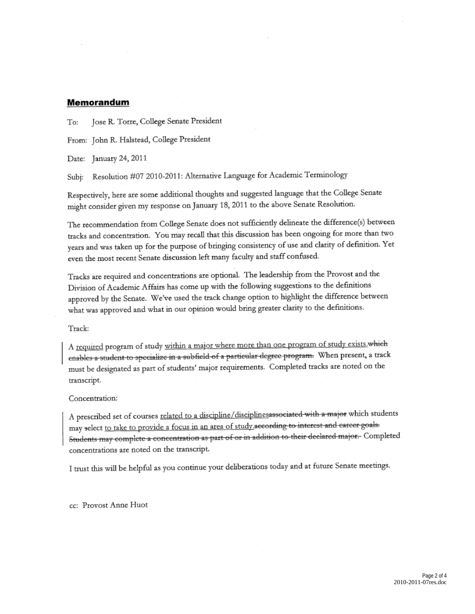#### Memorandum

Jose R. Torre, College Senate President To:

From: John R. Halstead, College President

Date: January 24, 2011

Resolution #07 2010-2011: Alternative Language for Academic Terminology Subi:

Respectively, here are some additional thoughts and suggested language that the College Senate might consider given my response on January 18, 2011 to the above Senate Resolution.

The recommendation from College Senate does not sufficiently delineate the difference(s) between tracks and concentration. You may recall that this discussion has been ongoing for more than two years and was taken up for the purpose of bringing consistency of use and clarity of definition. Yet even the most recent Senate discussion left many faculty and staff confused.

Tracks are required and concentrations are optional. The leadership from the Provost and the Division of Academic Affairs has come up with the following suggestions to the definitions approved by the Senate. We've used the track change option to highlight the difference between what was approved and what in our opinion would bring greater clarity to the definitions.

Track:

A required program of study within a major where more than one program of study exists.which enables a student to specialize in a subfield of a particular degree program. When present, a track must be designated as part of students' major requirements. Completed tracks are noted on the transcript.

Concentration:

A prescribed set of courses related to a discipline/disciplinesassociated with a major which students may select to take to provide a focus in an area of study according to interest and career goals. Students may complete a concentration as part of or in addition to their declared major. Completed concentrations are noted on the transcript.

I trust this will be helpful as you continue your deliberations today and at future Senate meetings.

cc: Provost Anne Huot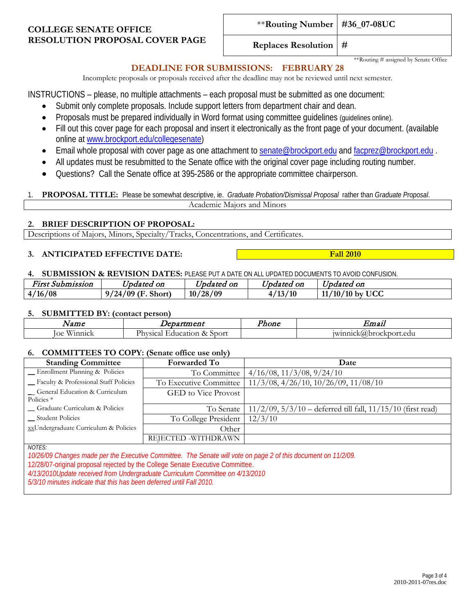### **COLLEGE SENATE OFFICE RESOLUTION PROPOSAL COVER PAGE**

**Replaces Resolution #**

\*\*Routing # assigned by Senate Office

### **DEADLINE FOR SUBMISSIONS: FEBRUARY 28**

Incomplete proposals or proposals received after the deadline may not be reviewed until next semester.

INSTRUCTIONS – please, no multiple attachments – each proposal must be submitted as one document:

- Submit only complete proposals. Include support letters from department chair and dean.
- Proposals must be prepared individually in Word format using committee guidelines (guidelines online).
- Fill out this cover page for each proposal and insert it electronically as the front page of your document. (available online at [www.brockport.edu/collegesenate\)](http://www.brockport.edu/collegesenate)
- Email whole proposal with cover page as one attachment to [senate@brockport.edu](mailto:fsenate@brockport.edu) and [facprez@brockport.edu](mailto:facprez@brockport.edu).
- All updates must be resubmitted to the Senate office with the original cover page including routing number.
- Questions? Call the Senate office at 395-2586 or the appropriate committee chairperson.

1. **PROPOSAL TITLE:** Please be somewhat descriptive, ie. *Graduate Probation/Dismissal Proposal* rather than *Graduate Proposal*. Academic Majors and Minors

#### **2. BRIEF DESCRIPTION OF PROPOSAL:**

Descriptions of Majors, Minors, Specialty/Tracks, Concentrations, and Certificates.

#### **3. ANTICIPATED EFFECTIVE DATE: Fall 2010**

**4. SUBMISSION & REVISION DATES:** PLEASE PUT A DATE ON ALL UPDATED DOCUMENTS TO AVOID CONFUSION.

| --<br>First Submission   | $ -$<br><i>Jpdated on</i>       | $\mathbf{r}$<br>Updated<br>oп | --<br>Jpdated on | $\mathbf{r}$<br>Updated on            |
|--------------------------|---------------------------------|-------------------------------|------------------|---------------------------------------|
| /16/08<br>4 <sub>1</sub> | 9/24/09<br>$\sqrt{F}$<br>Short) | 10/28/09                      | /13/10           | '10'<br><b>UCC</b><br>$/10$ by<br>11/ |

#### **5. SUBMITTED BY: (contact person)**

| $\sqrt{2}$     | Department                                 | Phone | Emau                    |
|----------------|--------------------------------------------|-------|-------------------------|
| Winnick<br>loe | $\sim$<br>Sport<br>Physical<br>Education & |       | winnick(a)brockport.edu |

#### **6. COMMITTEES TO COPY: (Senate office use only)**

| <b>Standing Committee</b>                                                                                | <b>Forwarded To</b>        | Date                                                               |  |  |  |
|----------------------------------------------------------------------------------------------------------|----------------------------|--------------------------------------------------------------------|--|--|--|
| _Enrollment Planning & Policies                                                                          | To Committee               | $4/16/08$ , $11/3/08$ , $9/24/10$                                  |  |  |  |
| Faculty & Professional Staff Policies                                                                    | To Executive Committee     | $11/3/08$ , $4/26/10$ , $10/26/09$ , $11/08/10$                    |  |  |  |
| General Education & Curriculum<br>Policies <sup>*</sup>                                                  | <b>GED</b> to Vice Provost |                                                                    |  |  |  |
| - Graduate Curriculum & Policies                                                                         | To Senate                  | $11/2/09$ , $5/3/10$ – deferred till fall, $11/15/10$ (first read) |  |  |  |
| __ Student Policies                                                                                      | To College President       | 12/3/10                                                            |  |  |  |
| xxUndergraduate Curriculum & Policies                                                                    | Other                      |                                                                    |  |  |  |
|                                                                                                          | REJECTED -WITHDRAWN        |                                                                    |  |  |  |
| <b>NOTES:</b>                                                                                            |                            |                                                                    |  |  |  |
| 10/0/200 Channel mode north Consultor Committee. The Construction of search of this descended by 11/0/00 |                            |                                                                    |  |  |  |

*10/26/09 Changes made per the Executive Committee. The Senate will vote on page 2 of this document on 11/2/09.* 12/28/07-original proposal rejected by the College Senate Executive Committee. *4/13/2010Update received from Undergraduate Curriculum Committee on 4/13/2010*

*5/3/10 minutes indicate that this has been deferred until Fall 2010.*